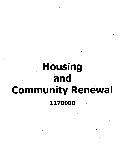## **Housing and Community Renewal 1170000**